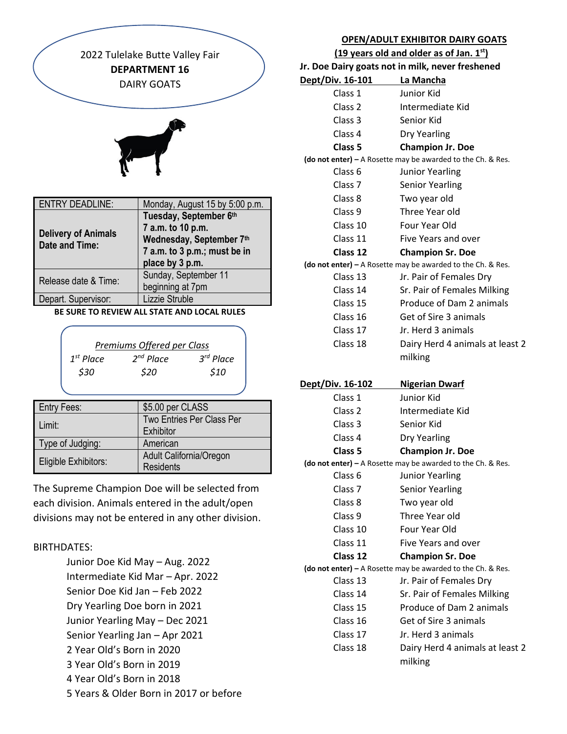

| <b>Delivery of Animals</b><br><b>Date and Time:</b> | 7 a.m. to 10 p.m.<br>Wednesday, September 7th<br>7 a.m. to 3 p.m.; must be in<br>place by 3 p.m. |
|-----------------------------------------------------|--------------------------------------------------------------------------------------------------|
| Release date & Time:                                | Sunday, September 11<br>beginning at 7pm                                                         |
| Depart. Supervisor:                                 | Lizzie Struble                                                                                   |

## **BE SURE TO REVIEW ALL STATE AND LOCAL RULES**

| Premiums Offered per Class |                |  |
|----------------------------|----------------|--|
| $2^{nd}$ Place             | $3^{rd}$ Place |  |
| \$20                       | \$10           |  |
|                            |                |  |

| <b>Entry Fees:</b>          | \$5.00 per CLASS          |
|-----------------------------|---------------------------|
| Limit:                      | Two Entries Per Class Per |
|                             | Exhibitor                 |
| Type of Judging:            | American                  |
|                             | Adult California/Oregon   |
| <b>Eligible Exhibitors:</b> | <b>Residents</b>          |

The Supreme Champion Doe will be selected from each division. Animals entered in the adult/open divisions may not be entered in any other division.

## BIRTHDATES:

- Junior Doe Kid May Aug. 2022 Intermediate Kid Mar – Apr. 2022 Senior Doe Kid Jan – Feb 2022 Dry Yearling Doe born in 2021 Junior Yearling May – Dec 2021 Senior Yearling Jan – Apr 2021 2 Year Old's Born in 2020 3 Year Old's Born in 2019
- 4 Year Old's Born in 2018
- 5 Years & Older Born in 2017 or before

## **OPEN/ADULT EXHIBITOR DAIRY GOATS**

 **(19 years old and older as of Jan. 1st)**

|                            | Jr. Doe Dairy goats not in milk, never freshened                                       |
|----------------------------|----------------------------------------------------------------------------------------|
| Dept/Div. 16-101 La Mancha |                                                                                        |
| Class 1                    | Junior Kid                                                                             |
| Class 2                    | Intermediate Kid                                                                       |
| Class 3                    | Senior Kid                                                                             |
| Class 4                    | <b>Dry Yearling</b>                                                                    |
| Class 5                    | <b>Champion Jr. Doe</b>                                                                |
|                            | (do not enter) - A Rosette may be awarded to the Ch. & Res.                            |
| Class <sub>6</sub>         | <b>Junior Yearling</b>                                                                 |
| Class <sub>7</sub>         | <b>Senior Yearling</b>                                                                 |
| Class 8                    | Two year old                                                                           |
| Class 9                    | Three Year old                                                                         |
| Class 10                   | Four Year Old                                                                          |
| Class 11                   | Five Years and over                                                                    |
| Class 12                   | <b>Champion Sr. Doe</b>                                                                |
|                            | (do not enter) $-$ A Rosette may be awarded to the Ch. & Res.                          |
| Class 13                   | Jr. Pair of Females Dry                                                                |
| Class 14                   | Sr. Pair of Females Milking                                                            |
| Class 15                   | Produce of Dam 2 animals                                                               |
| Class 16                   | Get of Sire 3 animals                                                                  |
| Class 17                   | Jr. Herd 3 animals                                                                     |
| Class 18                   | Dairy Herd 4 animals at least 2                                                        |
|                            | milking                                                                                |
|                            |                                                                                        |
|                            |                                                                                        |
| <u>Dept/Div. 16-102</u>    | <b>Nigerian Dwarf</b>                                                                  |
| Class 1                    | Junior Kid                                                                             |
| Class 2                    | Intermediate Kid                                                                       |
| Class 3                    | Senior Kid                                                                             |
| Class 4                    | <b>Dry Yearling</b>                                                                    |
| Class 5                    | <b>Champion Jr. Doe</b>                                                                |
|                            | (do not enter) - A Rosette may be awarded to the Ch. & Res.                            |
| Class <sub>6</sub>         | <b>Junior Yearling</b>                                                                 |
| Class 7                    | <b>Senior Yearling</b>                                                                 |
| Class 8                    | Two year old                                                                           |
| Class 9                    | Three Year old                                                                         |
| Class 10                   | Four Year Old<br>Five Years and over                                                   |
| Class 11                   |                                                                                        |
| Class 12                   | <b>Champion Sr. Doe</b>                                                                |
| Class 13                   | (do not enter) - A Rosette may be awarded to the Ch. & Res.<br>Jr. Pair of Females Dry |
| Class 14                   |                                                                                        |
| Class 15                   | Sr. Pair of Females Milking<br>Produce of Dam 2 animals                                |
| Class 16                   | Get of Sire 3 animals                                                                  |
| Class 17                   | Jr. Herd 3 animals                                                                     |
| Class 18                   | Dairy Herd 4 animals at least 2                                                        |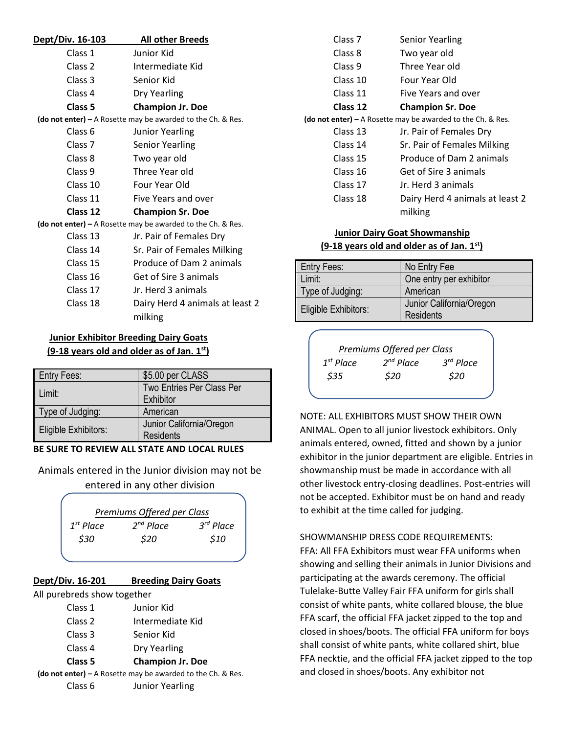| Dept/Div. 16-103 | <b>All other Breeds</b>                                       |
|------------------|---------------------------------------------------------------|
| Class 1          | Junior Kid                                                    |
| Class 2          | Intermediate Kid                                              |
| Class 3          | Senior Kid                                                    |
| Class 4          | Dry Yearling                                                  |
| Class 5          | <b>Champion Jr. Doe</b>                                       |
|                  | (do not enter) $-$ A Rosette may be awarded to the Ch. & Res. |
| Class 6          | <b>Junior Yearling</b>                                        |
| Class 7          | <b>Senior Yearling</b>                                        |
| Class 8          | Two year old                                                  |
| Class 9          | Three Year old                                                |
| Class 10         | Four Year Old                                                 |
| Class 11         | Five Years and over                                           |
| Class 12         | <b>Champion Sr. Doe</b>                                       |
|                  | (do not enter) – A Rosette may be awarded to the Ch. & Res.   |
| Class 13         | Jr. Pair of Females Dry                                       |
| Class 14         | Sr. Pair of Females Milking                                   |
| Class 15         | Produce of Dam 2 animals                                      |
| Class 16         | Get of Sire 3 animals                                         |
| Class 17         | Jr. Herd 3 animals                                            |
| Class 18         | Dairy Herd 4 animals at least 2<br>milking                    |

# **Junior Exhibitor Breeding Dairy Goats (9-18 years old and older as of Jan. 1st)**

| Entry Fees:          | \$5.00 per CLASS          |
|----------------------|---------------------------|
| Limit:               | Two Entries Per Class Per |
| Type of Judging:     | Exhibitor<br>American     |
|                      | Junior California/Oregon  |
| Eligible Exhibitors: | <b>Residents</b>          |

## **BE SURE TO REVIEW ALL STATE AND LOCAL RULES**

Animals entered in the Junior division may not be entered in any other division

| Premiums Offered per Class |                |                       |
|----------------------------|----------------|-----------------------|
| $1^{st}$ Place             | $2^{nd}$ Place | 3 <sup>rd</sup> Place |
| \$30                       | \$20           | \$10                  |
|                            |                |                       |

# **Dept/Div. 16-201 Breeding Dairy Goats**

All purebreds show together

| Class 1 | Junior Kid       |
|---------|------------------|
| Class 2 | Intermediate Kid |
| Class 3 | Senior Kid       |

- Class 4 Dry Yearling
- **Class 5 Champion Jr. Doe**

**(do not enter) –** A Rosette may be awarded to the Ch. & Res. Class 6 Junior Yearling

Class 7 Senior Yearling Class 8 Two year old Class 9 Three Year old Class 10 Four Year Old Class 11 Five Years and over **Class 12 Champion Sr. Doe (do not enter) –** A Rosette may be awarded to the Ch. & Res. Class 13 Jr. Pair of Females Dry Class 14 Sr. Pair of Females Milking Class 15 Produce of Dam 2 animals Class 16 Get of Sire 3 animals Class 17 Jr. Herd 3 animals Class 18 Dairy Herd 4 animals at least 2 milking

## **Junior Dairy Goat Showmanship (9-18 years old and older as of Jan. 1st)**

| <b>Entry Fees:</b>   | No Entry Fee                          |
|----------------------|---------------------------------------|
| Limit:               | One entry per exhibitor               |
| Type of Judging:     | American                              |
| Eligible Exhibitors: | Junior California/Oregon<br>Residents |



NOTE: ALL EXHIBITORS MUST SHOW THEIR OWN ANIMAL. Open to all junior livestock exhibitors. Only animals entered, owned, fitted and shown by a junior exhibitor in the junior department are eligible. Entries in showmanship must be made in accordance with all other livestock entry-closing deadlines. Post-entries will not be accepted. Exhibitor must be on hand and ready to exhibit at the time called for judging.

## SHOWMANSHIP DRESS CODE REQUIREMENTS:

FFA: All FFA Exhibitors must wear FFA uniforms when showing and selling their animals in Junior Divisions and participating at the awards ceremony. The official Tulelake-Butte Valley Fair FFA uniform for girls shall consist of white pants, white collared blouse, the blue FFA scarf, the official FFA jacket zipped to the top and closed in shoes/boots. The official FFA uniform for boys shall consist of white pants, white collared shirt, blue FFA necktie, and the official FFA jacket zipped to the top and closed in shoes/boots. Any exhibitor not